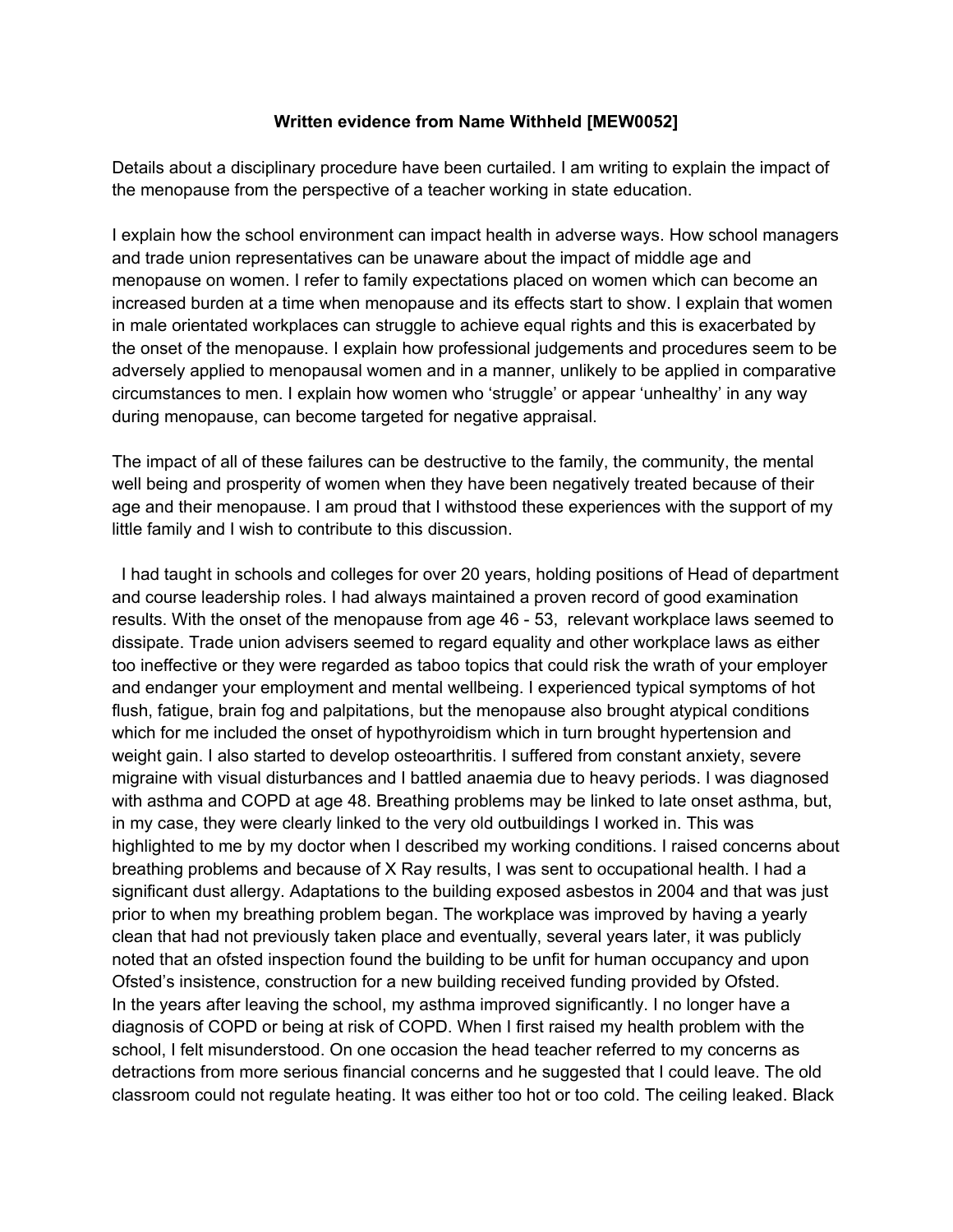## **Written evidence from Name Withheld [MEW0052]**

Details about a disciplinary procedure have been curtailed. I am writing to explain the impact of the menopause from the perspective of a teacher working in state education.

I explain how the school environment can impact health in adverse ways. How school managers and trade union representatives can be unaware about the impact of middle age and menopause on women. I refer to family expectations placed on women which can become an increased burden at a time when menopause and its effects start to show. I explain that women in male orientated workplaces can struggle to achieve equal rights and this is exacerbated by the onset of the menopause. I explain how professional judgements and procedures seem to be adversely applied to menopausal women and in a manner, unlikely to be applied in comparative circumstances to men. I explain how women who 'struggle' or appear 'unhealthy' in any way during menopause, can become targeted for negative appraisal.

The impact of all of these failures can be destructive to the family, the community, the mental well being and prosperity of women when they have been negatively treated because of their age and their menopause. I am proud that I withstood these experiences with the support of my little family and I wish to contribute to this discussion.

 I had taught in schools and colleges for over 20 years, holding positions of Head of department and course leadership roles. I had always maintained a proven record of good examination results. With the onset of the menopause from age 46 - 53, relevant workplace laws seemed to dissipate. Trade union advisers seemed to regard equality and other workplace laws as either too ineffective or they were regarded as taboo topics that could risk the wrath of your employer and endanger your employment and mental wellbeing. I experienced typical symptoms of hot flush, fatigue, brain fog and palpitations, but the menopause also brought atypical conditions which for me included the onset of hypothyroidism which in turn brought hypertension and weight gain. I also started to develop osteoarthritis. I suffered from constant anxiety, severe migraine with visual disturbances and I battled anaemia due to heavy periods. I was diagnosed with asthma and COPD at age 48. Breathing problems may be linked to late onset asthma, but, in my case, they were clearly linked to the very old outbuildings I worked in. This was highlighted to me by my doctor when I described my working conditions. I raised concerns about breathing problems and because of X Ray results, I was sent to occupational health. I had a significant dust allergy. Adaptations to the building exposed asbestos in 2004 and that was just prior to when my breathing problem began. The workplace was improved by having a yearly clean that had not previously taken place and eventually, several years later, it was publicly noted that an ofsted inspection found the building to be unfit for human occupancy and upon Ofsted's insistence, construction for a new building received funding provided by Ofsted. In the years after leaving the school, my asthma improved significantly. I no longer have a diagnosis of COPD or being at risk of COPD. When I first raised my health problem with the school, I felt misunderstood. On one occasion the head teacher referred to my concerns as detractions from more serious financial concerns and he suggested that I could leave. The old classroom could not regulate heating. It was either too hot or too cold. The ceiling leaked. Black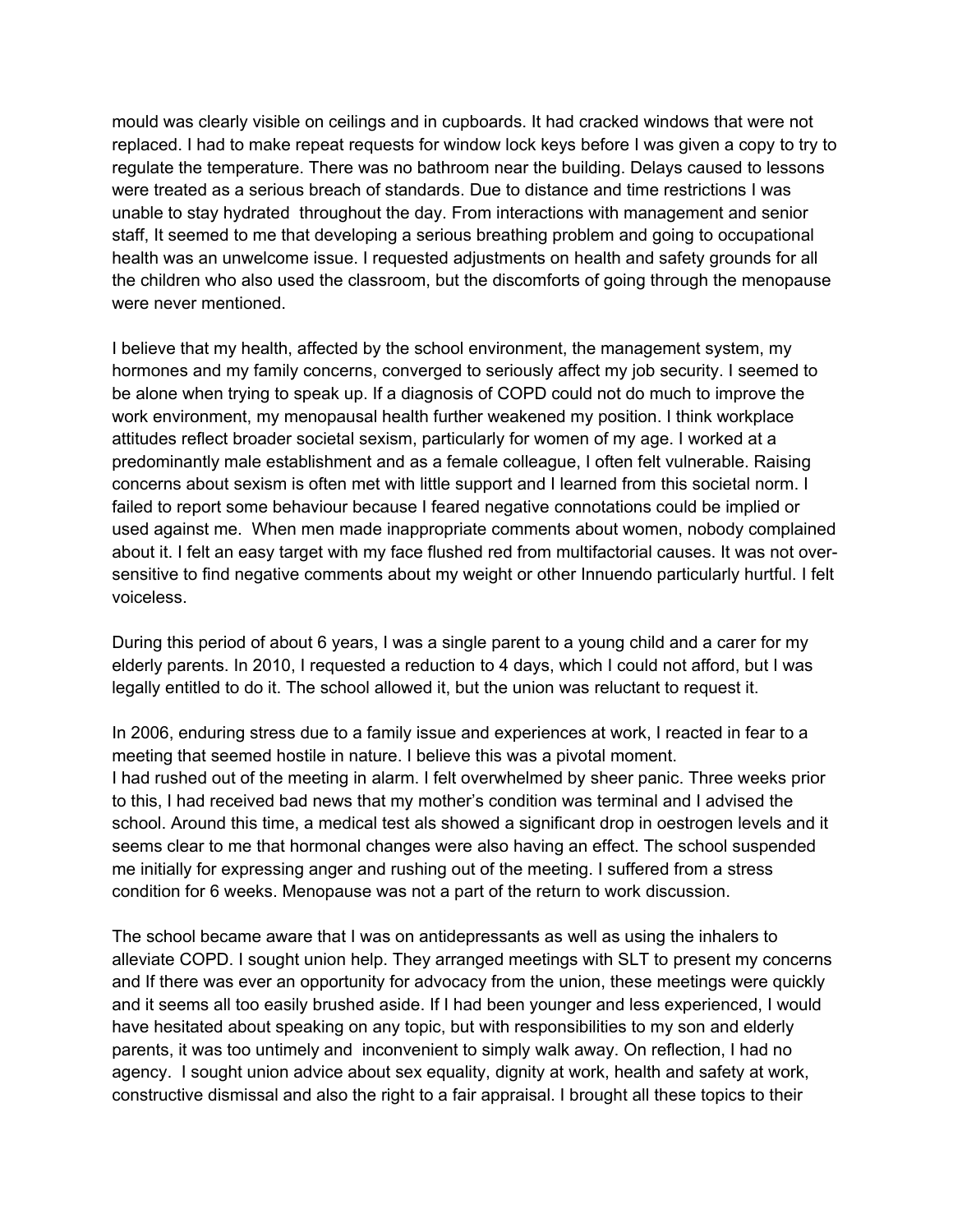mould was clearly visible on ceilings and in cupboards. It had cracked windows that were not replaced. I had to make repeat requests for window lock keys before I was given a copy to try to regulate the temperature. There was no bathroom near the building. Delays caused to lessons were treated as a serious breach of standards. Due to distance and time restrictions I was unable to stay hydrated throughout the day. From interactions with management and senior staff, It seemed to me that developing a serious breathing problem and going to occupational health was an unwelcome issue. I requested adjustments on health and safety grounds for all the children who also used the classroom, but the discomforts of going through the menopause were never mentioned.

I believe that my health, affected by the school environment, the management system, my hormones and my family concerns, converged to seriously affect my job security. I seemed to be alone when trying to speak up. If a diagnosis of COPD could not do much to improve the work environment, my menopausal health further weakened my position. I think workplace attitudes reflect broader societal sexism, particularly for women of my age. I worked at a predominantly male establishment and as a female colleague, I often felt vulnerable. Raising concerns about sexism is often met with little support and I learned from this societal norm. I failed to report some behaviour because I feared negative connotations could be implied or used against me. When men made inappropriate comments about women, nobody complained about it. I felt an easy target with my face flushed red from multifactorial causes. It was not oversensitive to find negative comments about my weight or other Innuendo particularly hurtful. I felt voiceless.

During this period of about 6 years, I was a single parent to a young child and a carer for my elderly parents. In 2010, I requested a reduction to 4 days, which I could not afford, but I was legally entitled to do it. The school allowed it, but the union was reluctant to request it.

In 2006, enduring stress due to a family issue and experiences at work, I reacted in fear to a meeting that seemed hostile in nature. I believe this was a pivotal moment. I had rushed out of the meeting in alarm. I felt overwhelmed by sheer panic. Three weeks prior to this, I had received bad news that my mother's condition was terminal and I advised the school. Around this time, a medical test als showed a significant drop in oestrogen levels and it seems clear to me that hormonal changes were also having an effect. The school suspended me initially for expressing anger and rushing out of the meeting. I suffered from a stress condition for 6 weeks. Menopause was not a part of the return to work discussion.

The school became aware that I was on antidepressants as well as using the inhalers to alleviate COPD. I sought union help. They arranged meetings with SLT to present my concerns and If there was ever an opportunity for advocacy from the union, these meetings were quickly and it seems all too easily brushed aside. If I had been younger and less experienced, I would have hesitated about speaking on any topic, but with responsibilities to my son and elderly parents, it was too untimely and inconvenient to simply walk away. On reflection, I had no agency. I sought union advice about sex equality, dignity at work, health and safety at work, constructive dismissal and also the right to a fair appraisal. I brought all these topics to their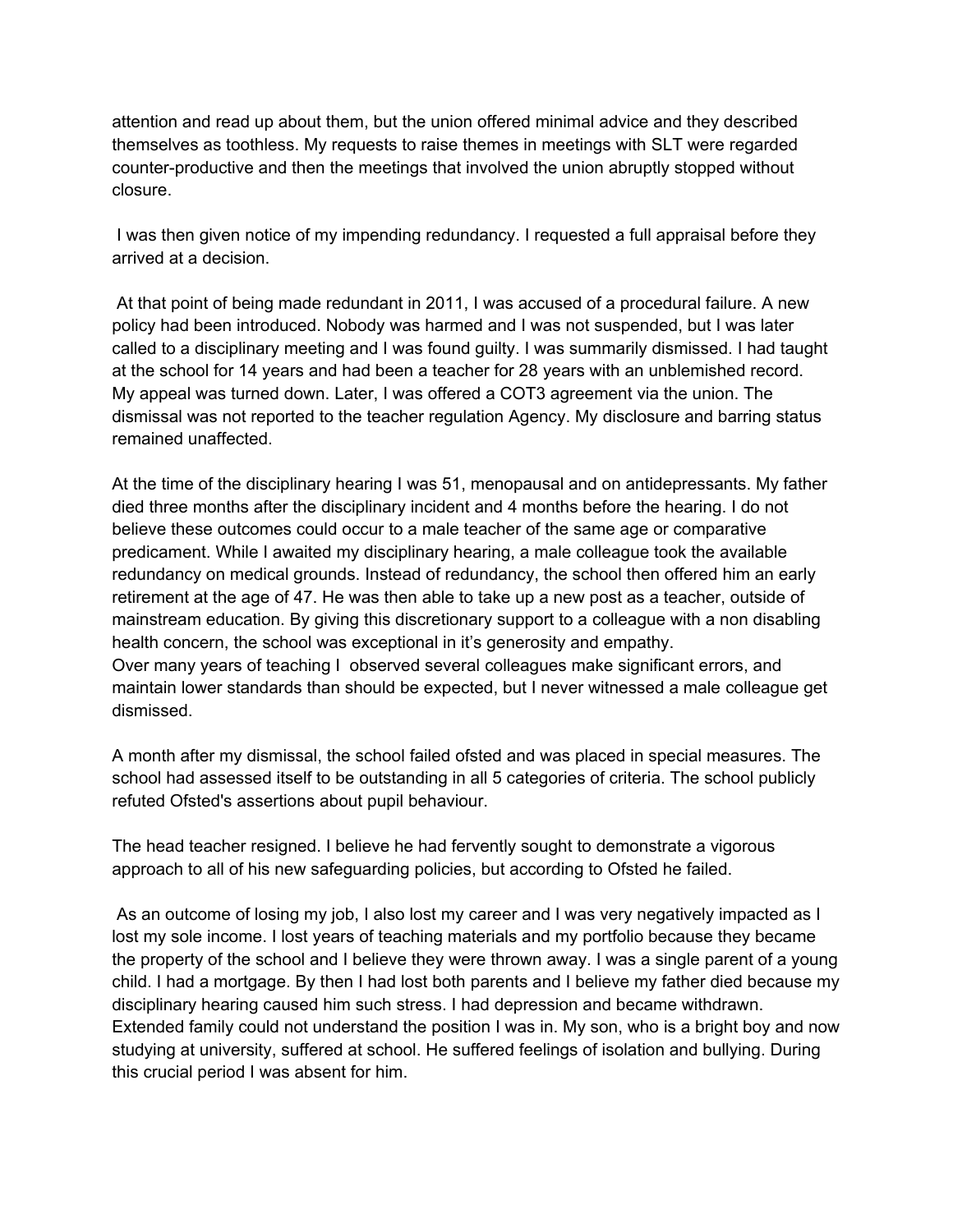attention and read up about them, but the union offered minimal advice and they described themselves as toothless. My requests to raise themes in meetings with SLT were regarded counter-productive and then the meetings that involved the union abruptly stopped without closure.

I was then given notice of my impending redundancy. I requested a full appraisal before they arrived at a decision.

At that point of being made redundant in 2011, I was accused of a procedural failure. A new policy had been introduced. Nobody was harmed and I was not suspended, but I was later called to a disciplinary meeting and I was found guilty. I was summarily dismissed. I had taught at the school for 14 years and had been a teacher for 28 years with an unblemished record. My appeal was turned down. Later, I was offered a COT3 agreement via the union. The dismissal was not reported to the teacher regulation Agency. My disclosure and barring status remained unaffected.

At the time of the disciplinary hearing I was 51, menopausal and on antidepressants. My father died three months after the disciplinary incident and 4 months before the hearing. I do not believe these outcomes could occur to a male teacher of the same age or comparative predicament. While I awaited my disciplinary hearing, a male colleague took the available redundancy on medical grounds. Instead of redundancy, the school then offered him an early retirement at the age of 47. He was then able to take up a new post as a teacher, outside of mainstream education. By giving this discretionary support to a colleague with a non disabling health concern, the school was exceptional in it's generosity and empathy. Over many years of teaching I observed several colleagues make significant errors, and maintain lower standards than should be expected, but I never witnessed a male colleague get dismissed.

A month after my dismissal, the school failed ofsted and was placed in special measures. The school had assessed itself to be outstanding in all 5 categories of criteria. The school publicly refuted Ofsted's assertions about pupil behaviour.

The head teacher resigned. I believe he had fervently sought to demonstrate a vigorous approach to all of his new safeguarding policies, but according to Ofsted he failed.

As an outcome of losing my job, I also lost my career and I was very negatively impacted as I lost my sole income. I lost years of teaching materials and my portfolio because they became the property of the school and I believe they were thrown away. I was a single parent of a young child. I had a mortgage. By then I had lost both parents and I believe my father died because my disciplinary hearing caused him such stress. I had depression and became withdrawn. Extended family could not understand the position I was in. My son, who is a bright boy and now studying at university, suffered at school. He suffered feelings of isolation and bullying. During this crucial period I was absent for him.